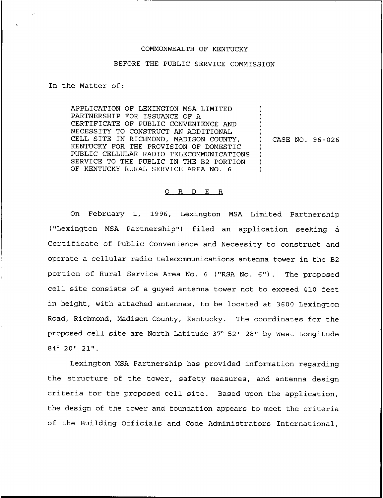## COMMONWEALTH OF KENTUCKY

## BEFORE THE PUBLIC SERVICE COMMISSION

In the Matter of:

APPLICATION OF LEXINGTON MSA LIMITED PARTNERSHIP FOR ISSUANCE OF A CERTIFICATE OF PUBLIC CONVENIENCE AND NECESSITY TO CONSTRUCT AN ADDITIONAL CELL SITE IN RICHMOND, MADISON COUNTY, KENTUCKY FOR THE PROVISION OF DOMESTIC PUBLIC CELLULAR RADIO TELECOMMUNICATIONS SERVICE TO THE PUBLIC IN THE B2 PORTION OF KENTUCKY RURAL SERVICE AREA NO. 6 ) ) ) ) ) ) ) )

) CASE NO. 96-026

## ORDER

On February 1, 1996, Lexington MSA Limited Partnership ("Lexington MSA Partnership") filed an application seeking a Certificate of Public Convenience and Necessity to construct and operate a cellular radio telecommunications antenna tower in the B2 portion of Rural Service Area No. <sup>6</sup> ("RSA No. 6"). The proposed cell site consists of a guyed antenna tower not to exceed 410 feet in height, with attached antennas, to be located at 3600 Lexington Road, Richmond, Madison County, Kentucky. The coordinates for the proposed cell site are North Latitude 37° 52' 28" by West Longitude  $84^{\circ}$  20' 21".

Lexington MSA Partnership has provided information regarding the structure of the tower, safety measures, and antenna design criteria for the proposed cell site. Based upon the application, the design of the tower and foundation appears to meet the criteria of the Building Officials and Code Administrators International,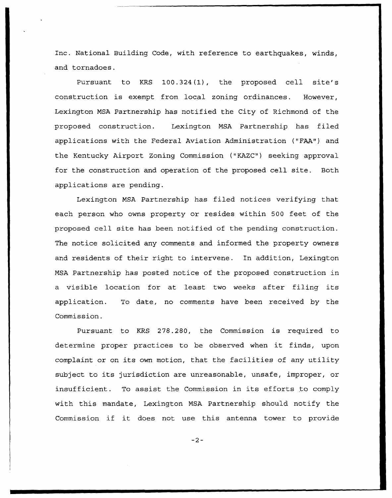Inc. National Building Code, with reference to earthquakes, winds, and tornadoes.

Pursuant to KRS 100.324(1), the proposed cell site's construction is exempt from local zoning ordinances. However, Lexington MSA Partnership has notified the City of Richmond of the proposed construction. Lexington MSA Partnership has filed applications with the Federal Aviation Administration ("FAA") and the Kentucky Airport Zoning Commission ("KAZC") seeking approval for the construction and operation of the proposed cell site. Both applications are pending.

Lexington MSA Partnership has filed notices verifying that each person who owns property or resides within 500 feet of the proposed cell site has been notified of the pending construction. The notice solicited any comments and informed the property owners and residents of their right to intervene. In addition, Lexington MSA Partnership has posted notice of the proposed construction in <sup>a</sup> visible location for at least two weeks after filing its application. To date, no comments have been received by the Commission.

Pursuant to KRS 278.280, the Commission is required to determine proper practices to be observed when it finds, upon complaint or on its own motion, that the facilities of any utility subject to its jurisdiction are unreasonable, unsafe, improper, or insufficient. To assist the Commission in its efforts to comply with this mandate, Lexington MSA Partnership should notify the Commission if it does not use this antenna tower to provide

 $-2-$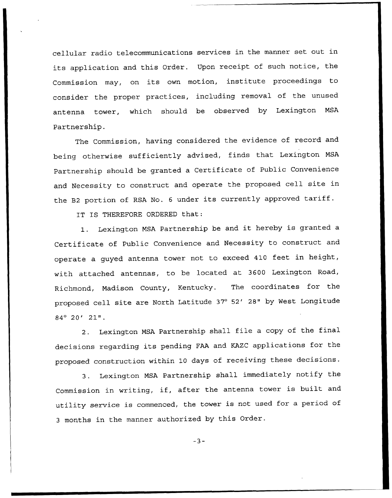cellular radio telecommunications services in the manner set out in its application and this Order. Upon receipt of such notice, the Commission may, on its own motion, institute proceedings to consider the proper practices, including removal of the unused antenna tower, which should be observed by Lexington MSA Partnership.

The Commission, having considered the evidence of record and being otherwise sufficiently advised, finds that Lexington MSA Partnership should be granted a Certificate of Public Convenience and Necessity to construct and operate the proposed cell site in the B2 portion of RSA No. <sup>6</sup> under its currently approved tariff.

IT IS THEREFORE ORDERED that:

1. Lexington MSA Partnership be and it hereby is granted <sup>a</sup> Certificate of Public Convenience and Necessity to construct and operate <sup>a</sup> guyed antenna tower not to exceed 410 feet in height, with attached antennas, to be located at 3600 Lexington Road, Richmond, Madison County, Kentucky. The coordinates for the proposed cell site are North Latitude 37° 52' 28" by West Longitude  $84^{\circ}$  20' 21".

2. Lexington MSA Partnership shall file <sup>a</sup> copy of the final decisions regarding its pending FAA and KAZC applications for the proposed construction within <sup>10</sup> days of receiving these decisions.

3. Lexington MSA Partnership shall immediately notify the Commission in writing, if, after the antenna tower is built and utility service is commenced, the tower is not used for <sup>a</sup> period of <sup>3</sup> months in the manner authorized by this Order.

 $-3-$